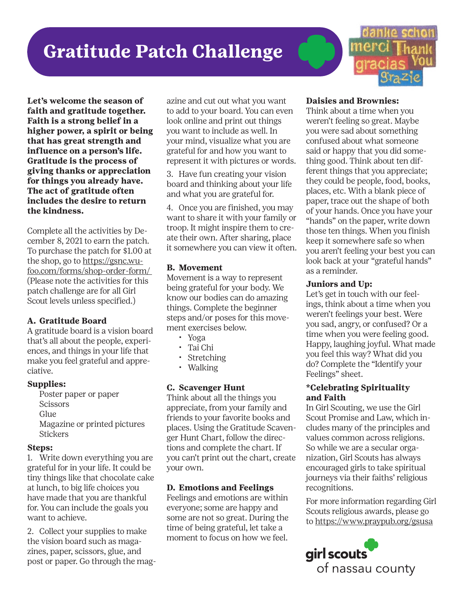### **Gratitude Patch Challenge**



**Let's welcome the season of faith and gratitude together. Faith is a strong belief in a higher power, a spirit or being that has great strength and influence on a person's life. Gratitude is the process of giving thanks or appreciation for things you already have. The act of gratitude often includes the desire to return the kindness.** 

Complete all the activities by December 8, 2021 to earn the patch. To purchase the patch for \$1.00 at the shop, go to https://gsnc.wufoo.com/forms/shop-order-form/ (Please note the activities for this patch challenge are for all Girl Scout levels unless specified.)

#### **A. Gratitude Board**

A gratitude board is a vision board that's all about the people, experiences, and things in your life that make you feel grateful and appreciative.

#### **Supplies:**

Poster paper or paper **Scissors** Glue Magazine or printed pictures **Stickers** 

#### **Steps:**

1. Write down everything you are grateful for in your life. It could be tiny things like that chocolate cake at lunch, to big life choices you have made that you are thankful for. You can include the goals you want to achieve.

2. Collect your supplies to make the vision board such as magazines, paper, scissors, glue, and post or paper. Go through the mag-

azine and cut out what you want to add to your board. You can even look online and print out things you want to include as well. In your mind, visualize what you are grateful for and how you want to represent it with pictures or words.

3. Have fun creating your vision board and thinking about your life and what you are grateful for.

4. Once you are finished, you may want to share it with your family or troop. It might inspire them to create their own. After sharing, place it somewhere you can view it often.

#### **B. Movement**

Movement is a way to represent being grateful for your body. We know our bodies can do amazing things. Complete the beginner steps and/or poses for this movement exercises below.

- Yoga
- Tai Chi
- Stretching
- Walking

#### **C. Scavenger Hunt**

Think about all the things you appreciate, from your family and friends to your favorite books and places. Using the Gratitude Scavenger Hunt Chart, follow the directions and complete the chart. If you can't print out the chart, create your own.

#### **D. Emotions and Feelings**

Feelings and emotions are within everyone; some are happy and some are not so great. During the time of being grateful, let take a moment to focus on how we feel.

#### **Daisies and Brownies:**

Think about a time when you weren't feeling so great. Maybe you were sad about something confused about what someone said or happy that you did something good. Think about ten different things that you appreciate; they could be people, food, books, places, etc. With a blank piece of paper, trace out the shape of both of your hands. Once you have your "hands" on the paper, write down those ten things. When you finish keep it somewhere safe so when you aren't feeling your best you can look back at your "grateful hands" as a reminder.

#### **Juniors and Up:**

Let's get in touch with our feelings, think about a time when you weren't feelings your best. Were you sad, angry, or confused? Or a time when you were feeling good. Happy, laughing joyful. What made you feel this way? What did you do? Complete the "Identify your Feelings" sheet.

#### **\*Celebrating Spirituality and Faith**

In Girl Scouting, we use the Girl Scout Promise and Law, which includes many of the principles and values common across religions. So while we are a secular organization, Girl Scouts has always encouraged girls to take spiritual journeys via their faiths' religious recognitions.

For more information regarding Girl Scouts religious awards, please go to https://www.praypub.org/gsusa

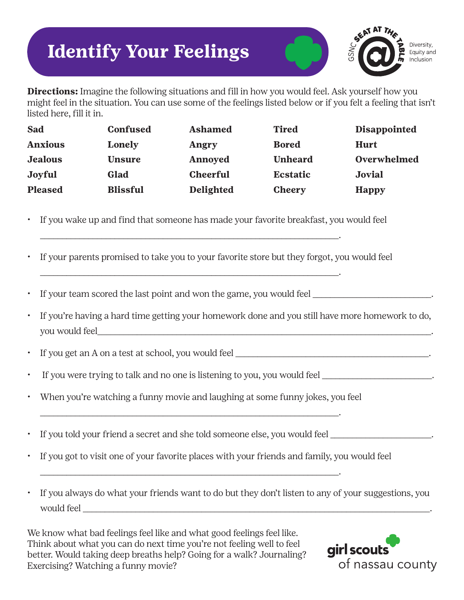## **Identify Your Feelings**



**Directions:** Imagine the following situations and fill in how you would feel. Ask yourself how you might feel in the situation. You can use some of the feelings listed below or if you felt a feeling that isn't listed here, fill it in.

| Sad            | <b>Confused</b> | <b>Ashamed</b>   | <b>Tired</b>    | <b>Disappointed</b> |
|----------------|-----------------|------------------|-----------------|---------------------|
| <b>Anxious</b> | Lonely          | Angry            | <b>Bored</b>    | <b>Hurt</b>         |
| <b>Jealous</b> | <b>Unsure</b>   | Annoyed          | <b>Unheard</b>  | Overwhelmed         |
| Joyful         | Glad            | <b>Cheerful</b>  | <b>Ecstatic</b> | Jovial              |
| <b>Pleased</b> | <b>Blissful</b> | <b>Delighted</b> | <b>Cheery</b>   | <b>Happy</b>        |

• If you wake up and find that someone has made your favorite breakfast, you would feel

\_\_\_\_\_\_\_\_\_\_\_\_\_\_\_\_\_\_\_\_\_\_\_\_\_\_\_\_\_\_\_\_\_\_\_\_\_\_\_\_\_\_\_\_\_\_\_\_\_\_\_\_\_\_\_\_\_\_\_\_\_\_\_\_\_\_\_\_.

\_\_\_\_\_\_\_\_\_\_\_\_\_\_\_\_\_\_\_\_\_\_\_\_\_\_\_\_\_\_\_\_\_\_\_\_\_\_\_\_\_\_\_\_\_\_\_\_\_\_\_\_\_\_\_\_\_\_\_\_\_\_\_\_\_\_\_\_.

- If your parents promised to take you to your favorite store but they forgot, you would feel
- If your team scored the last point and won the game, you would feel \_\_\_\_\_\_\_\_\_\_\_\_\_\_\_\_\_\_\_\_\_\_\_.
- If you're having a hard time getting your homework done and you still have more homework to do, you would feel\_\_\_\_\_\_\_\_\_\_\_\_\_\_\_\_\_\_\_\_\_\_\_\_\_\_\_\_\_\_\_\_\_\_\_\_\_\_\_\_\_\_\_\_\_\_\_\_\_\_\_\_\_\_\_\_\_\_\_\_\_\_\_\_\_\_\_\_\_\_\_\_\_\_\_\_.
- If you get an A on a test at school, you would feel \_\_\_\_\_\_\_\_\_\_\_\_\_\_\_\_\_\_\_\_\_\_\_\_\_\_\_\_\_\_\_\_\_\_\_\_\_\_\_\_\_\_\_\_.
- If you were trying to talk and no one is listening to you, you would feel \_\_\_\_\_\_\_\_\_\_\_\_\_\_\_\_\_\_\_\_\_\_\_\_\_\_
- When you're watching a funny movie and laughing at some funny jokes, you feel

\_\_\_\_\_\_\_\_\_\_\_\_\_\_\_\_\_\_\_\_\_\_\_\_\_\_\_\_\_\_\_\_\_\_\_\_\_\_\_\_\_\_\_\_\_\_\_\_\_\_\_\_\_\_\_\_\_\_\_\_\_\_\_\_\_\_\_\_.

\_\_\_\_\_\_\_\_\_\_\_\_\_\_\_\_\_\_\_\_\_\_\_\_\_\_\_\_\_\_\_\_\_\_\_\_\_\_\_\_\_\_\_\_\_\_\_\_\_\_\_\_\_\_\_\_\_\_\_\_\_\_\_\_\_\_\_\_.

- If you told your friend a secret and she told someone else, you would feel \_\_\_\_\_\_\_\_\_\_\_\_\_\_\_\_\_\_\_\_\_\_\_.
- If you got to visit one of your favorite places with your friends and family, you would feel
- If you always do what your friends want to do but they don't listen to any of your suggestions, you would feel

We know what bad feelings feel like and what good feelings feel like. Think about what you can do next time you're not feeling well to feel better. Would taking deep breaths help? Going for a walk? Journaling? Exercising? Watching a funny movie?